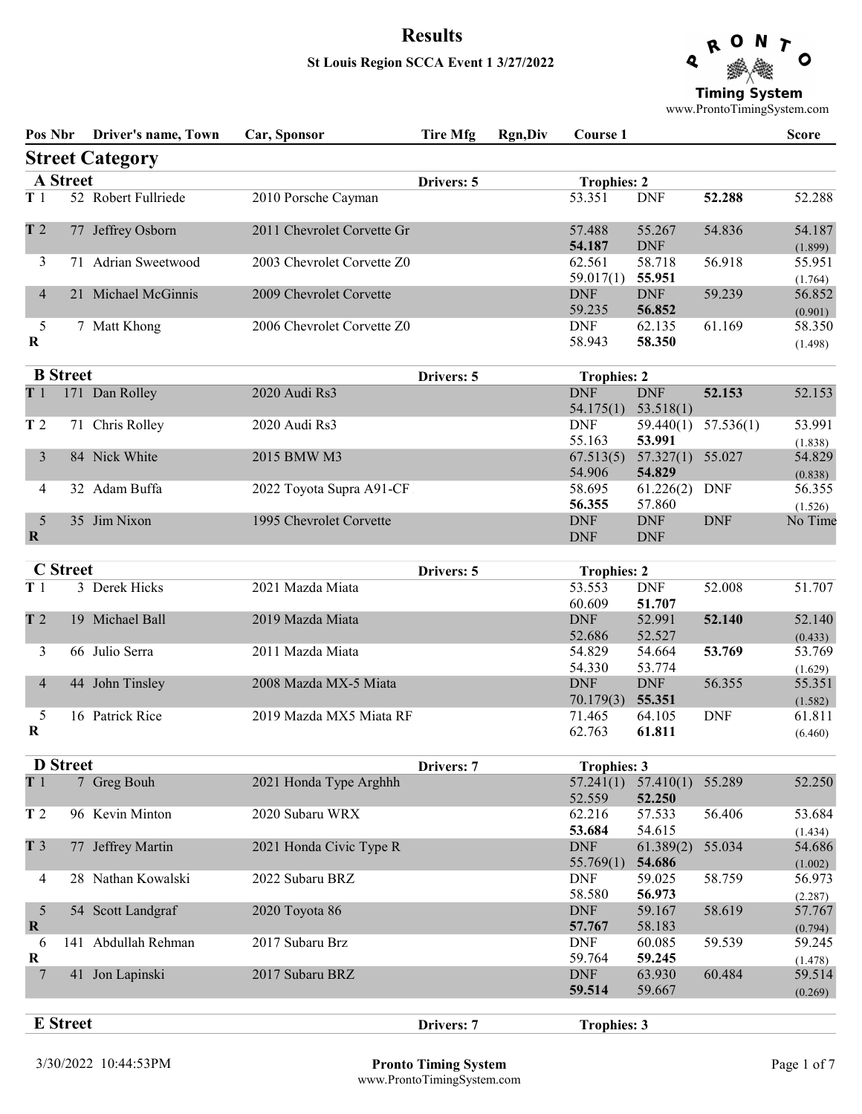# Results St Louis Region SCCA Event 1 3/27/2022



**Timing System** 

www.ProntoTimingSystem.com

|                  | Pos Nbr         | <b>Driver's name, Town</b> | Car, Sponsor               | <b>Tire Mfg</b> | <b>Rgn,Div</b> | Course 1                     |                          |            | <b>Score</b>                 |
|------------------|-----------------|----------------------------|----------------------------|-----------------|----------------|------------------------------|--------------------------|------------|------------------------------|
|                  |                 | <b>Street Category</b>     |                            |                 |                |                              |                          |            |                              |
|                  | <b>A</b> Street |                            |                            | Drivers: 5      |                | <b>Trophies: 2</b>           |                          |            |                              |
| T1               |                 | 52 Robert Fullriede        | 2010 Porsche Cayman        |                 |                | 53.351                       | <b>DNF</b>               | 52.288     | 52.288                       |
| T <sub>2</sub>   |                 | 77 Jeffrey Osborn          | 2011 Chevrolet Corvette Gr |                 |                | 57.488<br>54.187             | 55.267<br><b>DNF</b>     | 54.836     | 54.187<br>(1.899)            |
| 3                |                 | 71 Adrian Sweetwood        | 2003 Chevrolet Corvette Z0 |                 |                | 62.561<br>59.017(1)          | 58.718<br>55.951         | 56.918     | 55.951<br>(1.764)            |
| 4                |                 | 21 Michael McGinnis        | 2009 Chevrolet Corvette    |                 |                | <b>DNF</b><br>59.235         | <b>DNF</b><br>56.852     | 59.239     | 56.852<br>(0.901)            |
| 5<br>R           |                 | 7 Matt Khong               | 2006 Chevrolet Corvette Z0 |                 |                | <b>DNF</b><br>58.943         | 62.135<br>58.350         | 61.169     | 58.350<br>(1.498)            |
|                  | <b>B</b> Street |                            |                            | Drivers: 5      |                | <b>Trophies: 2</b>           |                          |            |                              |
| T <sub>1</sub>   |                 | 171 Dan Rolley             | 2020 Audi Rs3              |                 |                | <b>DNF</b><br>54.175(1)      | <b>DNF</b><br>53.518(1)  | 52.153     | 52.153                       |
| T <sub>2</sub>   |                 | 71 Chris Rolley            | 2020 Audi Rs3              |                 |                | <b>DNF</b><br>55.163         | 59.440(1)<br>53.991      | 57.536(1)  | 53.991<br>(1.838)            |
| 3                |                 | 84 Nick White              | 2015 BMW M3                |                 |                | 67.513(5)<br>54.906          | 57.327(1)<br>54.829      | 55.027     | 54.829<br>(0.838)            |
| 4                |                 | 32 Adam Buffa              | 2022 Toyota Supra A91-CF   |                 |                | 58.695<br>56.355             | 61.226(2)<br>57.860      | <b>DNF</b> | 56.355<br>(1.526)            |
| 5<br>$\mathbf R$ |                 | 35 Jim Nixon               | 1995 Chevrolet Corvette    |                 |                | <b>DNF</b><br><b>DNF</b>     | <b>DNF</b><br><b>DNF</b> | <b>DNF</b> | No Time                      |
|                  | <b>C</b> Street |                            |                            |                 |                |                              |                          |            |                              |
| T <sub>1</sub>   |                 | 3 Derek Hicks              | 2021 Mazda Miata           | Drivers: 5      |                | <b>Trophies: 2</b><br>53.553 | <b>DNF</b>               | 52.008     | 51.707                       |
|                  |                 |                            |                            |                 |                | 60.609                       | 51.707                   |            |                              |
| T <sub>2</sub>   |                 | 19 Michael Ball            | 2019 Mazda Miata           |                 |                | <b>DNF</b><br>52.686         | 52.991<br>52.527         | 52.140     | 52.140                       |
| 3                |                 | 66 Julio Serra             | 2011 Mazda Miata           |                 |                | 54.829                       | 54.664                   | 53.769     | (0.433)<br>53.769            |
|                  |                 |                            |                            |                 |                | 54.330                       | 53.774                   |            | (1.629)                      |
| $\overline{4}$   |                 | 44 John Tinsley            | 2008 Mazda MX-5 Miata      |                 |                | <b>DNF</b>                   | <b>DNF</b>               | 56.355     | 55.351                       |
|                  |                 |                            |                            |                 |                | 70.179(3)                    | 55.351                   |            | (1.582)                      |
| 5<br>R           |                 | 16 Patrick Rice            | 2019 Mazda MX5 Miata RF    |                 |                | 71.465<br>62.763             | 64.105<br>61.811         | <b>DNF</b> | 61.811<br>(6.460)            |
|                  | <b>D</b> Street |                            |                            | Drivers: 7      |                | <b>Trophies: 3</b>           |                          |            |                              |
| T1               |                 | 7 Greg Bouh                | 2021 Honda Type Arghhh     |                 |                | 57.241(1)<br>52.559          | 57.410(1)<br>52.250      | 55.289     | 52.250                       |
| T <sub>2</sub>   |                 | 96 Kevin Minton            | 2020 Subaru WRX            |                 |                | 62.216<br>53.684             | 57.533<br>54.615         | 56.406     | 53.684<br>(1.434)            |
| T <sub>3</sub>   |                 | 77 Jeffrey Martin          | 2021 Honda Civic Type R    |                 |                | <b>DNF</b><br>55.769(1)      | 61.389(2)<br>54.686      | 55.034     | 54.686<br>(1.002)            |
| 4                |                 | 28 Nathan Kowalski         | 2022 Subaru BRZ            |                 |                | <b>DNF</b><br>58.580         | 59.025<br>56.973         | 58.759     | 56.973<br>(2.287)            |
| 5<br>$\mathbf R$ |                 | 54 Scott Landgraf          | 2020 Toyota 86             |                 |                | <b>DNF</b><br>57.767         | 59.167<br>58.183         | 58.619     | 57.767<br>(0.794)            |
| 6<br>R           |                 | 141 Abdullah Rehman        | 2017 Subaru Brz            |                 |                | <b>DNF</b><br>59.764         | 60.085<br>59.245         | 59.539     | 59.245                       |
| 7                |                 | 41 Jon Lapinski            | 2017 Subaru BRZ            |                 |                | <b>DNF</b><br>59.514         | 63.930<br>59.667         | 60.484     | (1.478)<br>59.514<br>(0.269) |
|                  | <b>E</b> Street |                            |                            | Drivers: 7      |                | <b>Trophies: 3</b>           |                          |            |                              |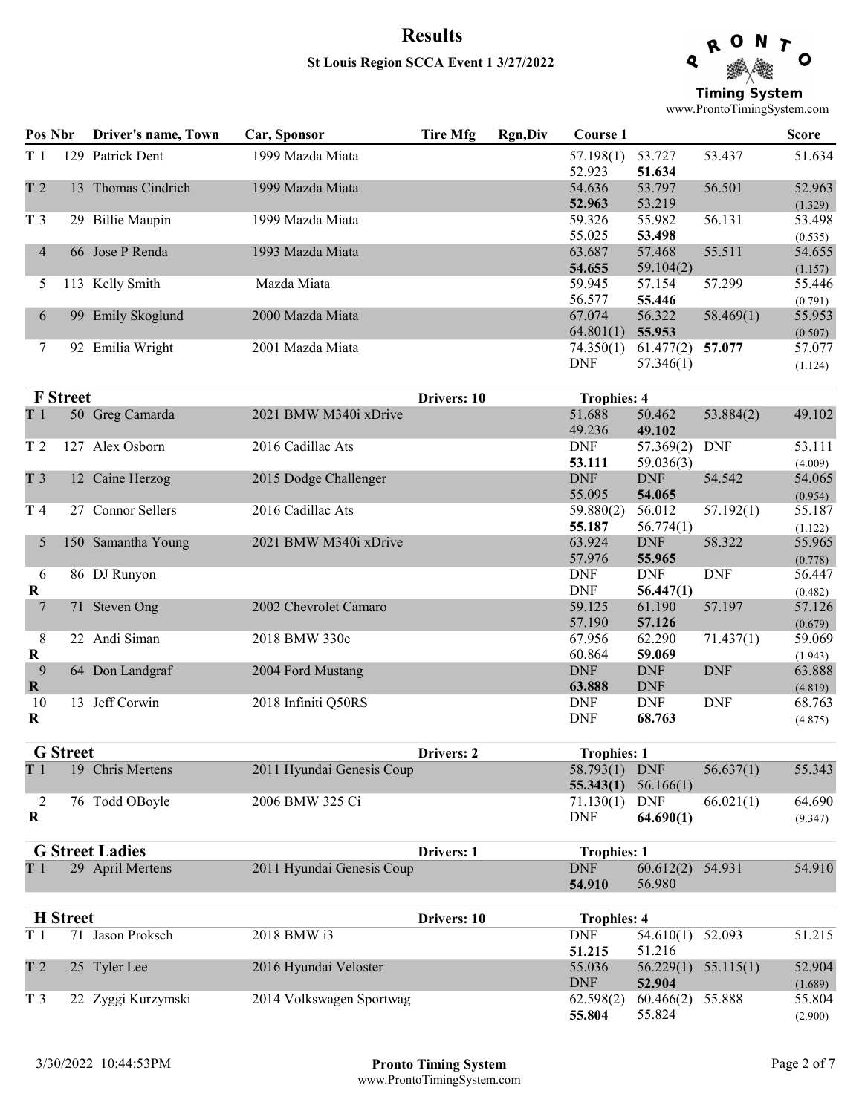### St Louis Region SCCA Event 1 3/27/2022

R Q Ο **Timing System** 

www.ProntoTimingSystem.com

| Pos Nbr        |                 | Driver's name, Town    | Car, Sponsor              | <b>Tire Mfg</b> | <b>Rgn,Div</b> | <b>Course 1</b>             |                        |            | <b>Score</b>      |
|----------------|-----------------|------------------------|---------------------------|-----------------|----------------|-----------------------------|------------------------|------------|-------------------|
| T <sub>1</sub> |                 | 129 Patrick Dent       | 1999 Mazda Miata          |                 |                | 57.198(1)<br>52.923         | 53.727<br>51.634       | 53.437     | 51.634            |
| T <sub>2</sub> |                 | 13 Thomas Cindrich     | 1999 Mazda Miata          |                 |                | 54.636<br>52.963            | 53.797<br>53.219       | 56.501     | 52.963<br>(1.329) |
| T <sub>3</sub> |                 | 29 Billie Maupin       | 1999 Mazda Miata          |                 |                | 59.326                      | 55.982                 | 56.131     | 53.498            |
|                |                 |                        |                           |                 |                | 55.025                      | 53.498                 |            | (0.535)           |
| $\overline{4}$ |                 | 66 Jose P Renda        | 1993 Mazda Miata          |                 |                | 63.687                      | 57.468                 | 55.511     | 54.655            |
|                |                 |                        |                           |                 |                | 54.655                      | 59.104(2)              |            | (1.157)           |
| 5              |                 | 113 Kelly Smith        | Mazda Miata               |                 |                | 59.945                      | 57.154                 | 57.299     | 55.446            |
|                |                 |                        |                           |                 |                | 56.577                      | 55.446                 |            | (0.791)           |
| 6              |                 | 99 Emily Skoglund      | 2000 Mazda Miata          |                 |                | 67.074                      | 56.322                 | 58.469(1)  | 55.953            |
|                |                 |                        |                           |                 |                | 64.801(1)                   | 55.953                 |            | (0.507)           |
| 7              |                 | 92 Emilia Wright       | 2001 Mazda Miata          |                 |                | 74.350(1)<br><b>DNF</b>     | 61.477(2)<br>57.346(1) | 57.077     | 57.077<br>(1.124) |
|                | <b>F</b> Street |                        |                           | Drivers: 10     |                | <b>Trophies: 4</b>          |                        |            |                   |
| T <sub>1</sub> |                 | 50 Greg Camarda        | 2021 BMW M340i xDrive     |                 |                | 51.688                      | 50.462                 | 53.884(2)  | 49.102            |
|                |                 |                        |                           |                 |                | 49.236                      | 49.102                 |            |                   |
| T <sub>2</sub> |                 | 127 Alex Osborn        | 2016 Cadillac Ats         |                 |                | <b>DNF</b>                  | 57.369(2)              | <b>DNF</b> | 53.111            |
|                |                 |                        |                           |                 |                | 53.111                      | 59.036(3)              |            | (4.009)           |
| T <sub>3</sub> |                 | 12 Caine Herzog        | 2015 Dodge Challenger     |                 |                | $\ensuremath{\mathsf{DNF}}$ | <b>DNF</b>             | 54.542     | 54.065            |
|                |                 |                        |                           |                 |                | 55.095                      | 54.065                 |            | (0.954)           |
| T 4            |                 | 27 Connor Sellers      | 2016 Cadillac Ats         |                 |                | 59.880(2)                   | 56.012                 | 57.192(1)  | 55.187            |
|                |                 |                        |                           |                 |                | 55.187                      | 56.774(1)              |            | (1.122)           |
| 5              |                 | 150 Samantha Young     | 2021 BMW M340i xDrive     |                 |                | 63.924                      | <b>DNF</b>             | 58.322     | 55.965            |
|                |                 | 86 DJ Runyon           |                           |                 |                | 57.976<br><b>DNF</b>        | 55.965<br><b>DNF</b>   | <b>DNF</b> | (0.778)<br>56.447 |
| 6<br>R         |                 |                        |                           |                 |                | <b>DNF</b>                  | 56.447(1)              |            |                   |
| 7              |                 | 71 Steven Ong          | 2002 Chevrolet Camaro     |                 |                | 59.125                      | 61.190                 | 57.197     | (0.482)<br>57.126 |
|                |                 |                        |                           |                 |                | 57.190                      | 57.126                 |            | (0.679)           |
| 8              |                 | 22 Andi Siman          | 2018 BMW 330e             |                 |                | 67.956                      | 62.290                 | 71.437(1)  | 59.069            |
| $\bf R$        |                 |                        |                           |                 |                | 60.864                      | 59.069                 |            | (1.943)           |
| 9              |                 | 64 Don Landgraf        | 2004 Ford Mustang         |                 |                | <b>DNF</b>                  | <b>DNF</b>             | <b>DNF</b> | 63.888            |
| $\mathbf{R}$   |                 |                        |                           |                 |                | 63.888                      | <b>DNF</b>             |            | (4.819)           |
| 10             |                 | 13 Jeff Corwin         | 2018 Infiniti Q50RS       |                 |                | <b>DNF</b>                  | <b>DNF</b>             | <b>DNF</b> | 68.763            |
| R              |                 |                        |                           |                 |                | <b>DNF</b>                  | 68.763                 |            | (4.875)           |
|                | <b>G</b> Street |                        |                           | Drivers: 2      |                | <b>Trophies: 1</b>          |                        |            |                   |
| T1             |                 | 19 Chris Mertens       | 2011 Hyundai Genesis Coup |                 |                | 58.793(1) DNF               |                        | 56.637(1)  | 55.343            |
|                |                 |                        |                           |                 |                |                             | 55.343(1) $56.166(1)$  |            |                   |
| 2              |                 | 76 Todd OBoyle         | 2006 BMW 325 Ci           |                 |                | 71.130(1) DNF               |                        | 66.021(1)  | 64.690            |
| R              |                 |                        |                           |                 |                | <b>DNF</b>                  | 64.690(1)              |            | (9.347)           |
|                |                 | <b>G</b> Street Ladies |                           | Drivers: 1      |                | <b>Trophies: 1</b>          |                        |            |                   |
| T1             |                 | 29 April Mertens       | 2011 Hyundai Genesis Coup |                 |                | <b>DNF</b>                  | 60.612(2) 54.931       |            | 54.910            |
|                |                 |                        |                           |                 |                | 54.910                      | 56.980                 |            |                   |
|                | <b>H</b> Street |                        |                           | Drivers: 10     |                | <b>Trophies: 4</b>          |                        |            |                   |
| T <sub>1</sub> |                 | 71 Jason Proksch       | 2018 BMW i3               |                 |                | <b>DNF</b>                  | 54.610(1)              | 52.093     | 51.215            |
|                |                 |                        |                           |                 |                | 51.215                      | 51.216                 |            |                   |
| T <sub>2</sub> |                 | 25 Tyler Lee           | 2016 Hyundai Veloster     |                 |                | 55.036                      | 56.229(1)              | 55.115(1)  | 52.904            |
|                |                 |                        |                           |                 |                | <b>DNF</b>                  | 52.904                 |            | (1.689)           |
| T <sub>3</sub> |                 | 22 Zyggi Kurzymski     | 2014 Volkswagen Sportwag  |                 |                | 62.598(2)                   | 60.466(2) 55.888       |            | 55.804            |
|                |                 |                        |                           |                 |                | 55.804                      | 55.824                 |            | (2.900)           |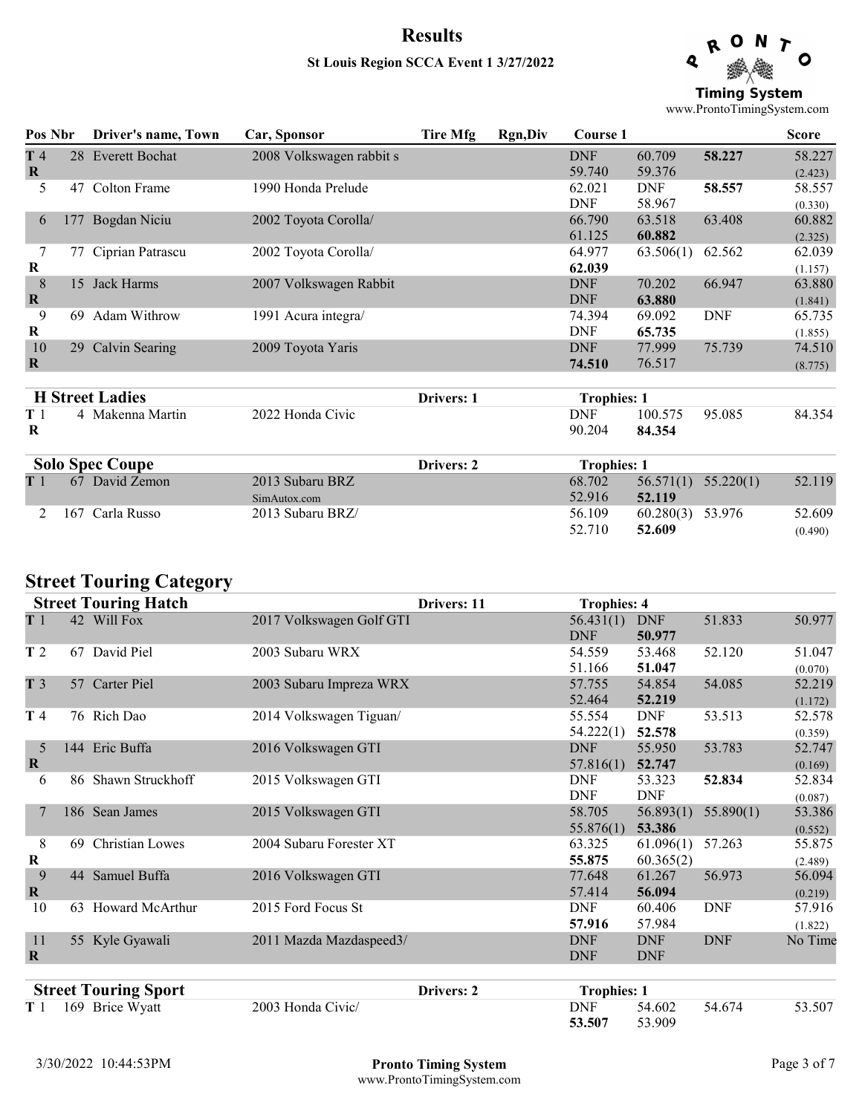### Results St Louis Region SCCA Event 1 3/27/2022

Q Ο **Timing System** 

www.ProntoTimingSystem.com

| Pos Nbr        |     | Driver's name, Town    | Car, Sponsor             | <b>Tire Mfg</b> | <b>Rgn,Div</b> | Course 1           |            |            | <b>Score</b> |
|----------------|-----|------------------------|--------------------------|-----------------|----------------|--------------------|------------|------------|--------------|
| T4             |     | 28 Everett Bochat      | 2008 Volkswagen rabbit s |                 |                | <b>DNF</b>         | 60.709     | 58.227     | 58.227       |
| $\bf R$        |     |                        |                          |                 |                | 59.740             | 59.376     |            | (2.423)      |
| 5              | 47  | Colton Frame           | 1990 Honda Prelude       |                 |                | 62.021             | <b>DNF</b> | 58.557     | 58.557       |
|                |     |                        |                          |                 |                | <b>DNF</b>         | 58.967     |            | (0.330)      |
| 6              | 177 | Bogdan Niciu           | 2002 Toyota Corolla/     |                 |                | 66.790             | 63.518     | 63.408     | 60.882       |
|                |     |                        |                          |                 |                | 61.125             | 60.882     |            | (2.325)      |
| 7              | 77  | Ciprian Patrascu       | 2002 Toyota Corolla/     |                 |                | 64.977             | 63.506(1)  | 62.562     | 62.039       |
| $\bf{R}$       |     |                        |                          |                 |                | 62.039             |            |            | (1.157)      |
| $8\phantom{1}$ | 15  | Jack Harms             | 2007 Volkswagen Rabbit   |                 |                | <b>DNF</b>         | 70.202     | 66.947     | 63.880       |
| $\mathbf R$    |     |                        |                          |                 |                | <b>DNF</b>         | 63.880     |            | (1.841)      |
| 9              | 69  | Adam Withrow           | 1991 Acura integra/      |                 |                | 74.394             | 69.092     | <b>DNF</b> | 65.735       |
| $\bf R$        |     |                        |                          |                 |                | <b>DNF</b>         | 65.735     |            | (1.855)      |
| 10             |     | 29 Calvin Searing      | 2009 Toyota Yaris        |                 |                | <b>DNF</b>         | 77.999     | 75.739     | 74.510       |
| $\bf{R}$       |     |                        |                          |                 |                | 74.510             | 76.517     |            | (8.775)      |
|                |     |                        |                          |                 |                |                    |            |            |              |
|                |     | <b>H</b> Street Ladies |                          | Drivers: 1      |                | <b>Trophies: 1</b> |            |            |              |
| T 1            |     | 4 Makenna Martin       | 2022 Honda Civic         |                 |                | <b>DNF</b>         | 100.575    | 95.085     | 84.354       |
| R              |     |                        |                          |                 |                | 90.204             | 84.354     |            |              |
|                |     | <b>Solo Spec Coupe</b> |                          | Drivers: 2      |                | <b>Trophies: 1</b> |            |            |              |
| T 1            |     | 67 David Zemon         | 2013 Subaru BRZ          |                 |                | 68.702             | 56.571(1)  | 55.220(1)  | 52.119       |
|                |     |                        | SimAutox.com             |                 |                | 52.916             | 52.119     |            |              |
| 2              | 167 | Carla Russo            | 2013 Subaru BRZ/         |                 |                | 56.109             | 60.280(3)  | 53.976     | 52.609       |
|                |     |                        |                          |                 |                | 52.710             | 52.609     |            | (0.490)      |

### Street Touring Category

|                               |    | <b>Street Touring Hatch</b> |                          | Drivers: 11 | <b>Trophies: 4</b>       |                          |            |                   |
|-------------------------------|----|-----------------------------|--------------------------|-------------|--------------------------|--------------------------|------------|-------------------|
| T1                            |    | 42 Will Fox                 | 2017 Volkswagen Golf GTI |             | 56.431(1)<br><b>DNF</b>  | <b>DNF</b><br>50.977     | 51.833     | 50.977            |
| T <sub>2</sub>                |    | 67 David Piel               | 2003 Subaru WRX          |             | 54.559<br>51.166         | 53.468<br>51.047         | 52.120     | 51.047<br>(0.070) |
| T <sub>3</sub>                |    | 57 Carter Piel              | 2003 Subaru Impreza WRX  |             | 57.755<br>52.464         | 54.854<br>52.219         | 54.085     | 52.219<br>(1.172) |
| T 4                           |    | 76 Rich Dao                 | 2014 Volkswagen Tiguan/  |             | 55.554<br>54.222(1)      | <b>DNF</b><br>52.578     | 53.513     | 52.578<br>(0.359) |
| 5<br>$\mathbf R$              |    | 144 Eric Buffa              | 2016 Volkswagen GTI      |             | <b>DNF</b><br>57.816(1)  | 55.950<br>52.747         | 53.783     | 52.747<br>(0.169) |
| 6                             |    | 86 Shawn Struckhoff         | 2015 Volkswagen GTI      |             | <b>DNF</b><br><b>DNF</b> | 53.323<br><b>DNF</b>     | 52.834     | 52.834<br>(0.087) |
| 7                             |    | 186 Sean James              | 2015 Volkswagen GTI      |             | 58.705<br>55.876(1)      | 56.893(1)<br>53.386      | 55.890(1)  | 53.386<br>(0.552) |
| $8\,$<br>$\bf R$              | 69 | <b>Christian Lowes</b>      | 2004 Subaru Forester XT  |             | 63.325<br>55.875         | 61.096(1)<br>60.365(2)   | 57.263     | 55.875<br>(2.489) |
| $\overline{9}$<br>$\mathbf R$ |    | 44 Samuel Buffa             | 2016 Volkswagen GTI      |             | 77.648<br>57.414         | 61.267<br>56.094         | 56.973     | 56.094<br>(0.219) |
| 10                            |    | 63 Howard McArthur          | 2015 Ford Focus St       |             | <b>DNF</b><br>57.916     | 60.406<br>57.984         | <b>DNF</b> | 57.916<br>(1.822) |
| 11<br>$\bf R$                 |    | 55 Kyle Gyawali             | 2011 Mazda Mazdaspeed3/  |             | <b>DNF</b><br><b>DNF</b> | <b>DNF</b><br><b>DNF</b> | <b>DNF</b> | No Time           |
|                               |    | <b>Street Touring Sport</b> |                          | Drivers: 2  | <b>Trophies: 1</b>       |                          |            |                   |

T 1 169 Brice Wyatt 2003 Honda Civic/ DNF 54.602 54.674 53.507<br>53.507 53.909 53.909

(0.490)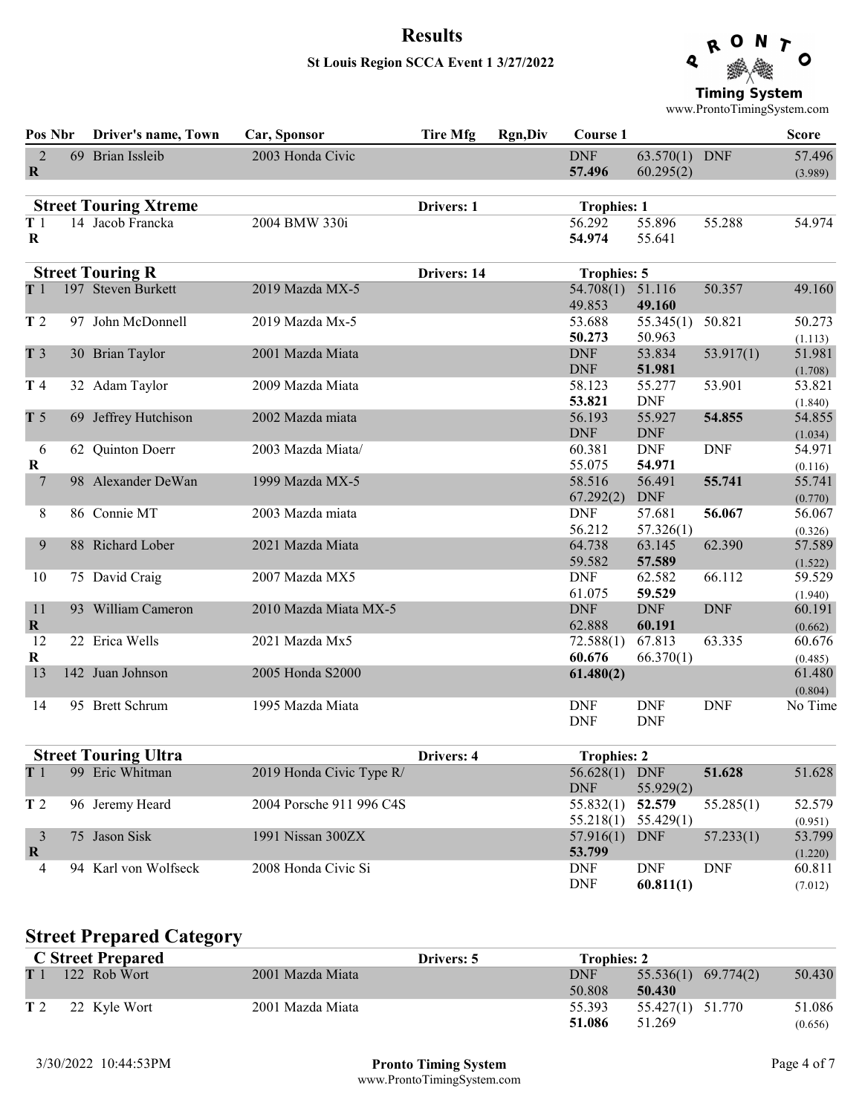#### St Louis Region SCCA Event 1 3/27/2022



www.ProntoTimingSystem.com

| Pos Nbr                       | Driver's name, Town          | Car, Sponsor             | <b>Tire Mfg</b> | <b>Rgn,Div</b> | Course 1                    |                            |            | <b>Score</b>      |
|-------------------------------|------------------------------|--------------------------|-----------------|----------------|-----------------------------|----------------------------|------------|-------------------|
| $\overline{2}$<br>$\mathbf R$ | 69 Brian Issleib             | 2003 Honda Civic         |                 |                | <b>DNF</b><br>57.496        | 63.570(1) DNF<br>60.295(2) |            | 57.496<br>(3.989) |
|                               | <b>Street Touring Xtreme</b> |                          | Drivers: 1      |                | <b>Trophies: 1</b>          |                            |            |                   |
| T1<br>$\bf R$                 | 14 Jacob Francka             | 2004 BMW 330i            |                 |                | 56.292<br>54.974            | 55.896<br>55.641           | 55.288     | 54.974            |
|                               | <b>Street Touring R</b>      |                          | Drivers: 14     |                | <b>Trophies: 5</b>          |                            |            |                   |
| T <sub>1</sub>                | 197 Steven Burkett           | 2019 Mazda MX-5          |                 |                | 54.708(1)<br>49.853         | 51.116<br>49.160           | 50.357     | 49.160            |
| T <sub>2</sub>                | 97 John McDonnell            | 2019 Mazda Mx-5          |                 |                | 53.688<br>50.273            | 55.345(1)<br>50.963        | 50.821     | 50.273<br>(1.113) |
| T <sub>3</sub>                | 30 Brian Taylor              | 2001 Mazda Miata         |                 |                | <b>DNF</b><br><b>DNF</b>    | 53.834<br>51.981           | 53.917(1)  | 51.981<br>(1.708) |
| T 4                           | 32 Adam Taylor               | 2009 Mazda Miata         |                 |                | 58.123<br>53.821            | 55.277<br><b>DNF</b>       | 53.901     | 53.821<br>(1.840) |
| T <sub>5</sub>                | 69 Jeffrey Hutchison         | 2002 Mazda miata         |                 |                | 56.193<br><b>DNF</b>        | 55.927<br><b>DNF</b>       | 54.855     | 54.855<br>(1.034) |
| 6<br>$\bf R$                  | 62 Quinton Doerr             | 2003 Mazda Miata/        |                 |                | 60.381<br>55.075            | <b>DNF</b><br>54.971       | <b>DNF</b> | 54.971<br>(0.116) |
| $\overline{7}$                | 98 Alexander DeWan           | 1999 Mazda MX-5          |                 |                | 58.516<br>67.292(2)         | 56.491<br><b>DNF</b>       | 55.741     | 55.741<br>(0.770) |
| $8\,$                         | 86 Connie MT                 | 2003 Mazda miata         |                 |                | <b>DNF</b><br>56.212        | 57.681<br>57.326(1)        | 56.067     | 56.067<br>(0.326) |
| 9                             | 88 Richard Lober             | 2021 Mazda Miata         |                 |                | 64.738<br>59.582            | 63.145<br>57.589           | 62.390     | 57.589<br>(1.522) |
| 10                            | 75 David Craig               | 2007 Mazda MX5           |                 |                | <b>DNF</b><br>61.075        | 62.582<br>59.529           | 66.112     | 59.529<br>(1.940) |
| 11<br>$\mathbf R$             | 93 William Cameron           | 2010 Mazda Miata MX-5    |                 |                | <b>DNF</b><br>62.888        | <b>DNF</b><br>60.191       | <b>DNF</b> | 60.191<br>(0.662) |
| 12<br>$\bf R$                 | 22 Erica Wells               | 2021 Mazda Mx5           |                 |                | 72.588(1)<br>60.676         | 67.813<br>66.370(1)        | 63.335     | 60.676<br>(0.485) |
| 13                            | 142 Juan Johnson             | 2005 Honda S2000         |                 |                | 61.480(2)                   |                            |            | 61.480<br>(0.804) |
| 14                            | 95 Brett Schrum              | 1995 Mazda Miata         |                 |                | <b>DNF</b><br><b>DNF</b>    | <b>DNF</b><br><b>DNF</b>   | <b>DNF</b> | No Time           |
|                               | <b>Street Touring Ultra</b>  |                          | Drivers: 4      |                | <b>Trophies: 2</b>          |                            |            |                   |
| T1                            | 99 Eric Whitman              | 2019 Honda Civic Type R/ |                 |                | 56.628(1) DNF<br><b>DNF</b> | 55.929(2)                  | 51.628     | 51.628            |
| T <sub>2</sub>                | 96 Jeremy Heard              | 2004 Porsche 911 996 C4S |                 |                | 55.832(1)                   | 52.579                     | 55.285(1)  | 52.579            |

| 96 Jeremy Heard      | 2004 Porsche 911 996 C4S |                   | 55.285(1)  | 52.579                                                   |
|----------------------|--------------------------|-------------------|------------|----------------------------------------------------------|
|                      |                          |                   |            | (0.951)                                                  |
| 75 Jason Sisk        | 1991 Nissan $300ZX$      | $57.916(1)$ DNF   | 57.233(1)  | 53.799                                                   |
|                      |                          | 53.799            |            | (1.220)                                                  |
| 94 Karl von Wolfseck | 2008 Honda Civic Si      | DNF<br><b>DNF</b> | <b>DNF</b> | 60.811                                                   |
|                      |                          | DNF               |            | (7.012)                                                  |
|                      |                          |                   |            | 55.832(1) 52.579<br>$55.218(1)$ $55.429(1)$<br>60.811(1) |

# Street Prepared Category

|                | <b>C</b> Street Prepared |                  | <b>Drivers: 5</b> | <b>Trophies: 2</b>   |                                               |                   |
|----------------|--------------------------|------------------|-------------------|----------------------|-----------------------------------------------|-------------------|
| T <sub>1</sub> | 122 Rob Wort             | 2001 Mazda Miata |                   | <b>DNF</b><br>50.808 | $\left(55.536(1) \right)$ 69.774(2)<br>50.430 | 50.430            |
|                | T 2 22 Kyle Wort         | 2001 Mazda Miata |                   | 55.393<br>51.086     | 55.427(1) 51.770<br>51.269                    | 51.086<br>(0.656) |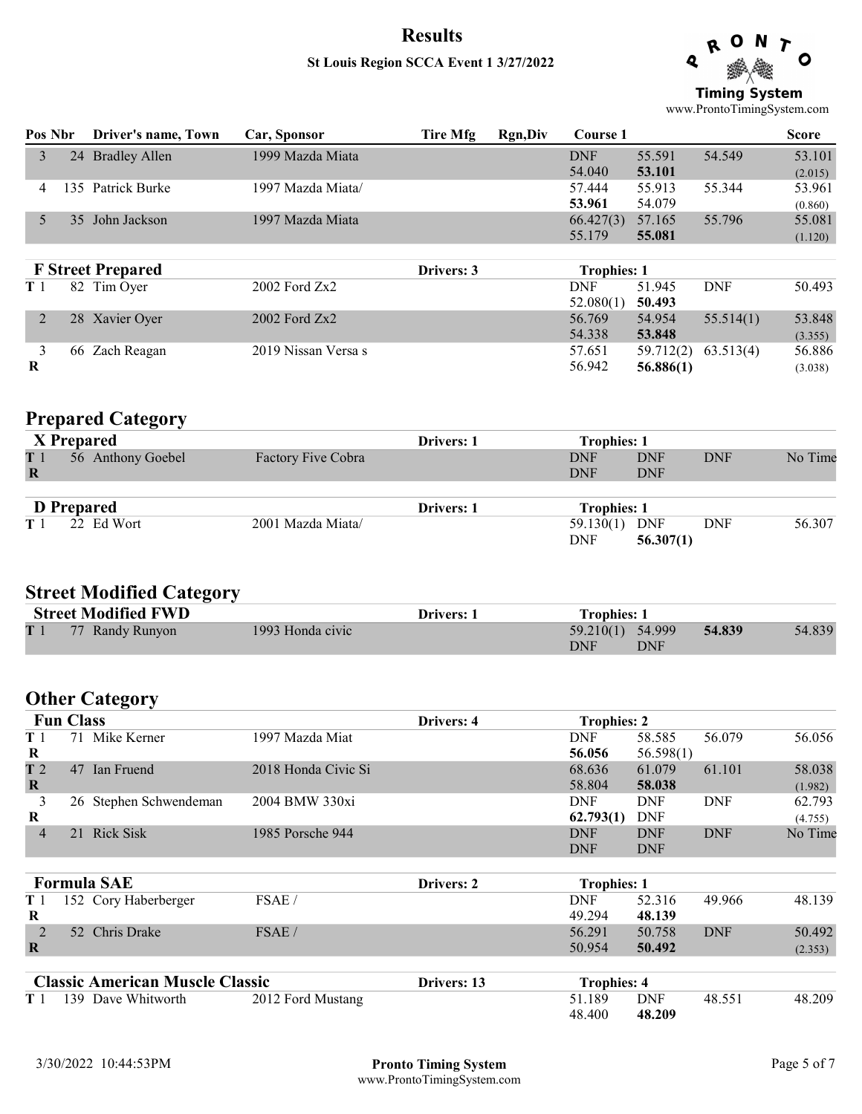### St Louis Region SCCA Event 1 3/27/2022

Q Ο **Timing System** 

www.ProntoTimingSystem.com

| Pos Nbr | Driver's name, Town  | Car, Sponsor                                                            | Tire Mfg   | Rgn, Div | Course 1   |           |                    | <b>Score</b> |
|---------|----------------------|-------------------------------------------------------------------------|------------|----------|------------|-----------|--------------------|--------------|
| 24      | <b>Bradley Allen</b> | 1999 Mazda Miata                                                        |            |          | <b>DNF</b> | 55.591    | 54.549             | 53.101       |
|         |                      |                                                                         |            |          | 54.040     | 53.101    |                    | (2.015)      |
| 135.    |                      | 1997 Mazda Miata/                                                       |            |          | 57.444     | 55.913    | 55.344             | 53.961       |
|         |                      |                                                                         |            |          | 53.961     | 54.079    |                    | (0.860)      |
| 35      | John Jackson         | 1997 Mazda Miata                                                        |            |          | 66.427(3)  | 57.165    | 55.796             | 55.081       |
|         |                      |                                                                         |            |          | 55.179     | 55.081    |                    | (1.120)      |
|         |                      |                                                                         |            |          |            |           |                    |              |
|         |                      |                                                                         | Drivers: 3 |          |            |           |                    |              |
|         |                      | $2002$ Ford $Zx2$                                                       |            |          | <b>DNF</b> | 51.945    | <b>DNF</b>         | 50.493       |
|         |                      |                                                                         |            |          | 52.080(1)  | 50.493    |                    |              |
| 28      |                      | 2002 Ford Zx2                                                           |            |          | 56.769     | 54.954    | 55.514(1)          | 53.848       |
|         |                      |                                                                         |            |          | 54.338     | 53.848    |                    | (3.355)      |
| 66      | Zach Reagan          | 2019 Nissan Versa s                                                     |            |          | 57.651     | 59.712(2) | 63.513(4)          | 56.886       |
|         |                      |                                                                         |            |          | 56.942     | 56.886(1) |                    | (3.038)      |
|         |                      | Patrick Burke<br><b>F</b> Street Prepared<br>82 Tim Oyer<br>Xavier Oyer |            |          |            |           | <b>Trophies: 1</b> |              |

### Prepared Category

|                | X Prepared        |                    | <b>Drivers: 1</b> | <b>Trophies: 1</b> |            |            |         |
|----------------|-------------------|--------------------|-------------------|--------------------|------------|------------|---------|
| T1             | 56 Anthony Goebel | Factory Five Cobra |                   | <b>DNF</b>         | <b>DNF</b> | <b>DNF</b> | No Time |
| R              |                   |                    |                   | <b>DNF</b>         | <b>DNF</b> |            |         |
|                |                   |                    |                   |                    |            |            |         |
|                | <b>D</b> Prepared |                    | <b>Drivers: 1</b> | <b>Trophies: 1</b> |            |            |         |
| T <sub>1</sub> | 22 Ed Wort        | 2001 Mazda Miata/  |                   | 59.130(1) DNF      |            | DNF        | 56.307  |
|                |                   |                    |                   | <b>DNF</b>         | 56.307(1)  |            |         |

# Street Modified Category

| <b>Street Modified FWD</b> |                  | <b>Drivers: 1</b> | <b>Trophies: 1</b> |        |        |
|----------------------------|------------------|-------------------|--------------------|--------|--------|
| T 1 77 Randy Runyon        | 1993 Honda civic |                   | $59.210(1)$ 54.999 | 54.839 | 54.839 |
|                            |                  |                   | DNF<br>DNF         |        |        |

# Other Category

|                | <b>Fun Class</b> |                                        |                     | Drivers: 4  | <b>Trophies: 2</b> |            |            |         |
|----------------|------------------|----------------------------------------|---------------------|-------------|--------------------|------------|------------|---------|
| T <sub>1</sub> |                  | 71 Mike Kerner                         | 1997 Mazda Miat     |             | <b>DNF</b>         | 58.585     | 56.079     | 56.056  |
| R              |                  |                                        |                     |             | 56.056             | 56.598(1)  |            |         |
| T <sub>2</sub> | 47               | <b>Ian Fruend</b>                      | 2018 Honda Civic Si |             | 68.636             | 61.079     | 61.101     | 58.038  |
| $\mathbf R$    |                  |                                        |                     |             | 58.804             | 58.038     |            | (1.982) |
| 3              |                  | 26 Stephen Schwendeman                 | 2004 BMW 330xi      |             | <b>DNF</b>         | <b>DNF</b> | <b>DNF</b> | 62.793  |
| $\bf R$        |                  |                                        |                     |             | 62.793(1)          | <b>DNF</b> |            | (4.755) |
| $\overline{4}$ |                  | 21 Rick Sisk                           | 1985 Porsche 944    |             | <b>DNF</b>         | <b>DNF</b> | <b>DNF</b> | No Time |
|                |                  |                                        |                     |             | <b>DNF</b>         | <b>DNF</b> |            |         |
|                |                  | <b>Formula SAE</b>                     |                     | Drivers: 2  | <b>Trophies: 1</b> |            |            |         |
| T <sub>1</sub> |                  | 152 Cory Haberberger                   | FSAE/               |             | <b>DNF</b>         | 52.316     | 49.966     | 48.139  |
| $\bf R$        |                  |                                        |                     |             | 49.294             | 48.139     |            |         |
| 2              |                  | 52 Chris Drake                         | FSAE/               |             | 56.291             | 50.758     | <b>DNF</b> | 50.492  |
| $\mathbf R$    |                  |                                        |                     |             | 50.954             | 50.492     |            | (2.353) |
|                |                  | <b>Classic American Muscle Classic</b> |                     | Drivers: 13 | <b>Trophies: 4</b> |            |            |         |

| <b>Classic American Muscle Classic</b> |                        |                   | Drivers: 13 |        | Trophies: 4 |        |        |
|----------------------------------------|------------------------|-------------------|-------------|--------|-------------|--------|--------|
|                                        | T 1 139 Dave Whitworth | 2012 Ford Mustang |             | 51.189 | DNF         | 48.551 | 48.209 |
|                                        |                        |                   |             | 48.400 | 48.209      |        |        |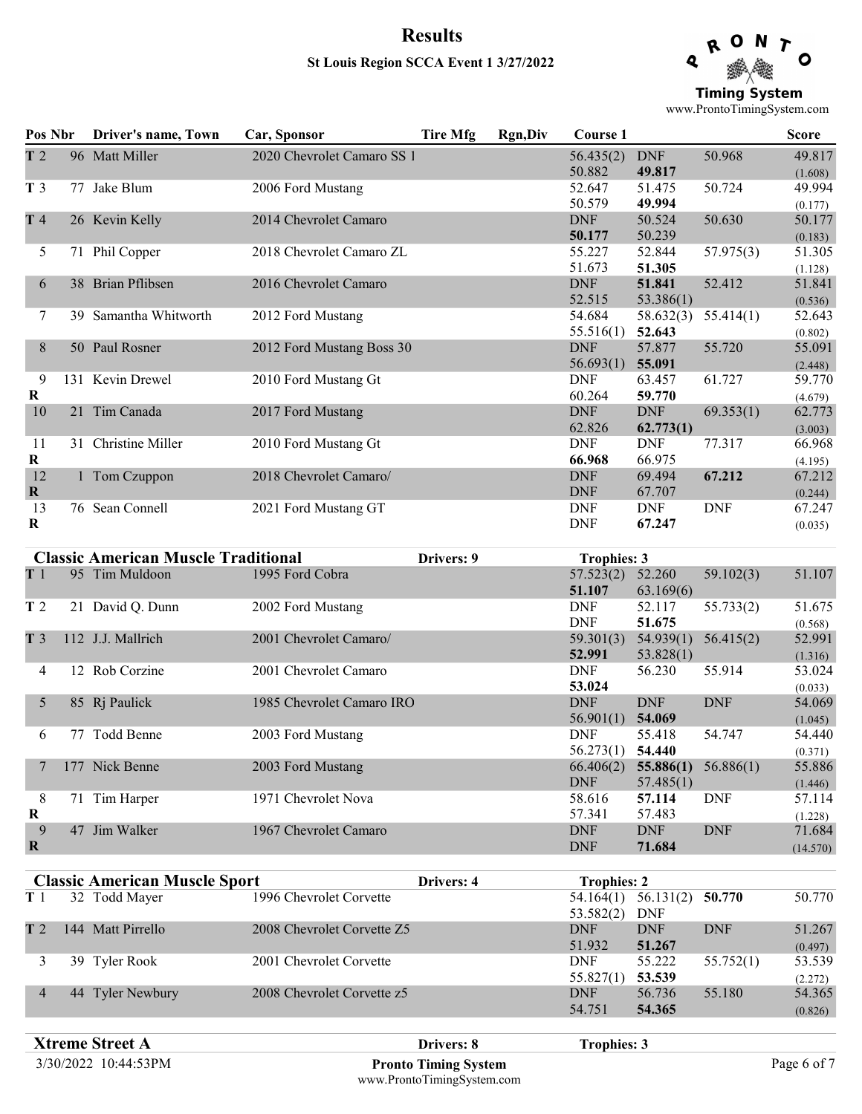# Results St Louis Region SCCA Event 1 3/27/2022

Q Ο **Timing System** 

www.ProntoTimingSystem.com

| T <sub>2</sub><br>96 Matt Miller<br>2020 Chevrolet Camaro SS 1<br>56.435(2)<br>50.968<br>49.817<br><b>DNF</b><br>50.882<br>49.817<br>(1.608)<br>T <sub>3</sub><br>77 Jake Blum<br>2006 Ford Mustang<br>52.647<br>49.994<br>51.475<br>50.724<br>50.579<br>49.994<br>(0.177)<br>T 4<br>26 Kevin Kelly<br>2014 Chevrolet Camaro<br>50.630<br><b>DNF</b><br>50.524<br>50.177<br>50.239<br>50.177<br>(0.183)<br>51.305<br>71 Phil Copper<br>55.227<br>52.844<br>5<br>2018 Chevrolet Camaro ZL<br>57.975(3)<br>51.673<br>51.305<br>(1.128)<br>38 Brian Pflibsen<br>2016 Chevrolet Camaro<br><b>DNF</b><br>51.841<br>52.412<br>51.841<br>6<br>52.515<br>53.386(1)<br>(0.536)<br>Samantha Whitworth<br>2012 Ford Mustang<br>54.684<br>58.632(3)<br>55.414(1)<br>52.643<br>7<br>39.<br>52.643<br>55.516(1)<br>(0.802)<br>50 Paul Rosner<br>55.720<br>8<br>2012 Ford Mustang Boss 30<br><b>DNF</b><br>57.877<br>56.693(1)<br>55.091<br>(2.448)<br>9<br>131 Kevin Drewel<br><b>DNF</b><br>2010 Ford Mustang Gt<br>61.727<br>59.770<br>63.457<br>60.264<br>R<br>59.770<br>(4.679)<br>21 Tim Canada<br>2017 Ford Mustang<br><b>DNF</b><br><b>DNF</b><br>10<br>69.353(1)<br>62.773<br>62.826<br>62.773(1)<br>(3.003)<br>31 Christine Miller<br>2010 Ford Mustang Gt<br><b>DNF</b><br>11<br><b>DNF</b><br>77.317<br>66.968<br>R<br>66.975<br>66.968<br>(4.195)<br>67.212<br>12<br>2018 Chevrolet Camaro/<br>67.212<br><b>DNF</b><br>69.494<br>1 Tom Czuppon<br><b>DNF</b><br>$\bf{R}$<br>67.707<br>(0.244)<br>76 Sean Connell<br>2021 Ford Mustang GT<br><b>DNF</b><br><b>DNF</b><br>13<br><b>DNF</b><br>67.247<br><b>DNF</b><br>67.247<br>$\bf{R}$<br>(0.035)<br><b>Classic American Muscle Traditional</b><br>Drivers: 9<br><b>Trophies: 3</b><br>$57.52(2)$ $52.2(2)$<br>$T1 \quad \Omega^2 T' 111$<br>$100E E$ $1C1$<br>E(102(2))<br>51.107 | Pos Nbr | Driver's name, Town | Car, Sponsor | <b>Tire Mfg</b> | <b>Rgn,Div</b> | Course 1 |  | <b>Score</b> |
|----------------------------------------------------------------------------------------------------------------------------------------------------------------------------------------------------------------------------------------------------------------------------------------------------------------------------------------------------------------------------------------------------------------------------------------------------------------------------------------------------------------------------------------------------------------------------------------------------------------------------------------------------------------------------------------------------------------------------------------------------------------------------------------------------------------------------------------------------------------------------------------------------------------------------------------------------------------------------------------------------------------------------------------------------------------------------------------------------------------------------------------------------------------------------------------------------------------------------------------------------------------------------------------------------------------------------------------------------------------------------------------------------------------------------------------------------------------------------------------------------------------------------------------------------------------------------------------------------------------------------------------------------------------------------------------------------------------------------------------------------------------------------------------------------------------------------------|---------|---------------------|--------------|-----------------|----------------|----------|--|--------------|
|                                                                                                                                                                                                                                                                                                                                                                                                                                                                                                                                                                                                                                                                                                                                                                                                                                                                                                                                                                                                                                                                                                                                                                                                                                                                                                                                                                                                                                                                                                                                                                                                                                                                                                                                                                                                                                  |         |                     |              |                 |                |          |  |              |
|                                                                                                                                                                                                                                                                                                                                                                                                                                                                                                                                                                                                                                                                                                                                                                                                                                                                                                                                                                                                                                                                                                                                                                                                                                                                                                                                                                                                                                                                                                                                                                                                                                                                                                                                                                                                                                  |         |                     |              |                 |                |          |  |              |
|                                                                                                                                                                                                                                                                                                                                                                                                                                                                                                                                                                                                                                                                                                                                                                                                                                                                                                                                                                                                                                                                                                                                                                                                                                                                                                                                                                                                                                                                                                                                                                                                                                                                                                                                                                                                                                  |         |                     |              |                 |                |          |  |              |
|                                                                                                                                                                                                                                                                                                                                                                                                                                                                                                                                                                                                                                                                                                                                                                                                                                                                                                                                                                                                                                                                                                                                                                                                                                                                                                                                                                                                                                                                                                                                                                                                                                                                                                                                                                                                                                  |         |                     |              |                 |                |          |  |              |
|                                                                                                                                                                                                                                                                                                                                                                                                                                                                                                                                                                                                                                                                                                                                                                                                                                                                                                                                                                                                                                                                                                                                                                                                                                                                                                                                                                                                                                                                                                                                                                                                                                                                                                                                                                                                                                  |         |                     |              |                 |                |          |  |              |
|                                                                                                                                                                                                                                                                                                                                                                                                                                                                                                                                                                                                                                                                                                                                                                                                                                                                                                                                                                                                                                                                                                                                                                                                                                                                                                                                                                                                                                                                                                                                                                                                                                                                                                                                                                                                                                  |         |                     |              |                 |                |          |  |              |
|                                                                                                                                                                                                                                                                                                                                                                                                                                                                                                                                                                                                                                                                                                                                                                                                                                                                                                                                                                                                                                                                                                                                                                                                                                                                                                                                                                                                                                                                                                                                                                                                                                                                                                                                                                                                                                  |         |                     |              |                 |                |          |  | 55.091       |
|                                                                                                                                                                                                                                                                                                                                                                                                                                                                                                                                                                                                                                                                                                                                                                                                                                                                                                                                                                                                                                                                                                                                                                                                                                                                                                                                                                                                                                                                                                                                                                                                                                                                                                                                                                                                                                  |         |                     |              |                 |                |          |  |              |
|                                                                                                                                                                                                                                                                                                                                                                                                                                                                                                                                                                                                                                                                                                                                                                                                                                                                                                                                                                                                                                                                                                                                                                                                                                                                                                                                                                                                                                                                                                                                                                                                                                                                                                                                                                                                                                  |         |                     |              |                 |                |          |  |              |
|                                                                                                                                                                                                                                                                                                                                                                                                                                                                                                                                                                                                                                                                                                                                                                                                                                                                                                                                                                                                                                                                                                                                                                                                                                                                                                                                                                                                                                                                                                                                                                                                                                                                                                                                                                                                                                  |         |                     |              |                 |                |          |  |              |
|                                                                                                                                                                                                                                                                                                                                                                                                                                                                                                                                                                                                                                                                                                                                                                                                                                                                                                                                                                                                                                                                                                                                                                                                                                                                                                                                                                                                                                                                                                                                                                                                                                                                                                                                                                                                                                  |         |                     |              |                 |                |          |  |              |
|                                                                                                                                                                                                                                                                                                                                                                                                                                                                                                                                                                                                                                                                                                                                                                                                                                                                                                                                                                                                                                                                                                                                                                                                                                                                                                                                                                                                                                                                                                                                                                                                                                                                                                                                                                                                                                  |         |                     |              |                 |                |          |  |              |
|                                                                                                                                                                                                                                                                                                                                                                                                                                                                                                                                                                                                                                                                                                                                                                                                                                                                                                                                                                                                                                                                                                                                                                                                                                                                                                                                                                                                                                                                                                                                                                                                                                                                                                                                                                                                                                  |         |                     |              |                 |                |          |  |              |

|                  |     | Chassic Triner Rain Triascic Traditional |                           | <b>Trapment</b>          |                        |            |                    |
|------------------|-----|------------------------------------------|---------------------------|--------------------------|------------------------|------------|--------------------|
| T <sub>1</sub>   |     | 95 Tim Muldoon                           | 1995 Ford Cobra           | 57.523(2)<br>51.107      | 52.260<br>63.169(6)    | 59.102(3)  | 51.107             |
| T <sub>2</sub>   |     | 21 David Q. Dunn                         | 2002 Ford Mustang         | <b>DNF</b><br><b>DNF</b> | 52.117<br>51.675       | 55.733(2)  | 51.675<br>(0.568)  |
| T <sub>3</sub>   |     | 112 J.J. Mallrich                        | 2001 Chevrolet Camaro/    | 59.301(3)<br>52.991      | 54.939(1)<br>53.828(1) | 56.415(2)  | 52.991<br>(1.316)  |
| 4                |     | 12 Rob Corzine                           | 2001 Chevrolet Camaro     | <b>DNF</b><br>53.024     | 56.230                 | 55.914     | 53.024<br>(0.033)  |
| 5                |     | 85 Rj Paulick                            | 1985 Chevrolet Camaro IRO | <b>DNF</b><br>56.901(1)  | <b>DNF</b><br>54.069   | <b>DNF</b> | 54.069<br>(1.045)  |
| 6                |     | Todd Benne                               | 2003 Ford Mustang         | <b>DNF</b><br>56.273(1)  | 55.418<br>54.440       | 54.747     | 54.440<br>(0.371)  |
|                  | 177 | Nick Benne                               | 2003 Ford Mustang         | 66.406(2)<br><b>DNF</b>  | 55.886(1)<br>57.485(1) | 56.886(1)  | 55.886<br>(1.446)  |
| 8<br>$\bf R$     |     | 71 Tim Harper                            | 1971 Chevrolet Nova       | 58.616<br>57.341         | 57.114<br>57.483       | <b>DNF</b> | 57.114<br>(1.228)  |
| 9<br>$\mathbf R$ | 47  | Jim Walker                               | 1967 Chevrolet Camaro     | <b>DNF</b><br><b>DNF</b> | <b>DNF</b><br>71.684   | <b>DNF</b> | 71.684<br>(14.570) |

|                | <b>Classic American Muscle Sport</b> |                            | Drivers: 4 | <b>Trophies: 2</b> |            |            |         |
|----------------|--------------------------------------|----------------------------|------------|--------------------|------------|------------|---------|
| T <sub>1</sub> | 32 Todd Mayer                        | 1996 Chevrolet Corvette    |            | 54.164(1)          | 56.131(2)  | 50.770     | 50.770  |
|                |                                      |                            |            | 53.582(2)          | <b>DNF</b> |            |         |
| T <sub>2</sub> | 144 Matt Pirrello                    | 2008 Chevrolet Corvette Z5 |            | <b>DNF</b>         | <b>DNF</b> | <b>DNF</b> | 51.267  |
|                |                                      |                            |            | 51.932             | 51.267     |            | (0.497) |
|                | 39 Tyler Rook                        | 2001 Chevrolet Corvette    |            | <b>DNF</b>         | 55.222     | 55.752(1)  | 53.539  |
|                |                                      |                            |            | 55.827(1)          | 53.539     |            | (2.272) |
|                | 44 Tyler Newbury                     | 2008 Chevrolet Corvette z5 |            | <b>DNF</b>         | 56.736     | 55.180     | 54.365  |
|                |                                      |                            |            | 54.751             | 54.365     |            | (0.826) |

3/30/2022 10:44:53PM Page 6 of 7 Pronto Timing Systemwww.ProntoTimingSystem.com